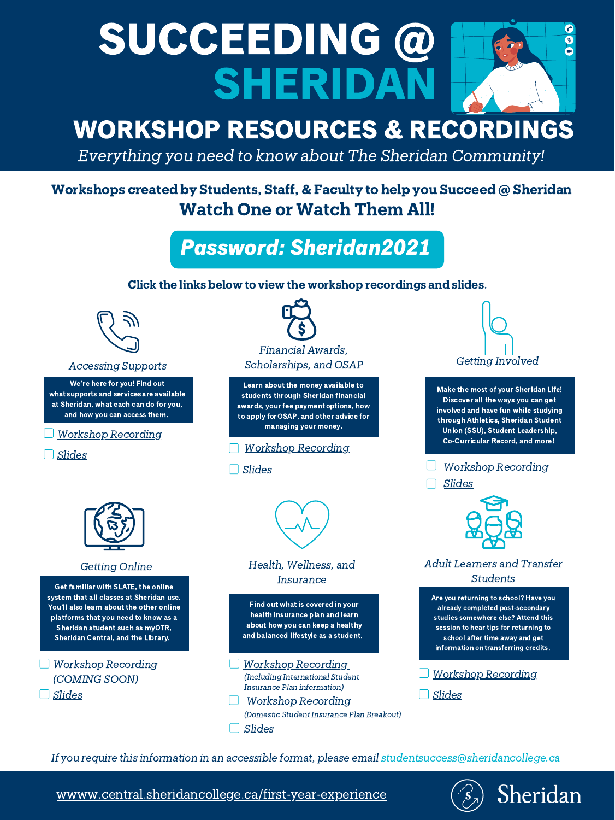## SUCCEEDING @  $\bullet$ R SHERIDAN

# WORKSHOP RESOURCES & RECORDINGS

Everything you need to know about The Sheridan Community!

Workshops created by Students, Staff, & Faculty to help you Succeed @ Sheridan Watch One or Watch Them All!

#### Getting Online Health, Wellness, and Insurance

Click the links below to view the workshop recordings and slides.



[wwww.central.sheridancollege.ca/first-year-experience](https://central.sheridancollege.ca/first-year-experience)



#### Accessing Supports



We're here for you! Find out whatsupports and servicesare available at Sheridan, what each can do for you, and how you can access them.

Learn about the money available to students through Sheridan financial awards, your fee paymentoptions, how to apply forOSAP, and other advice for managing your money.

Make the most of your Sheridan Life! Discover all the ways you can get involved and have fun while studying through Athletics, Sheridan Student

Union (SSU), Student Leadership, Co-Curricular Record, and more!

Get familiar with SLATE, the online system that all classes at Sheridan use. You'll also learn about the other online platforms that you need to know as a Sheridan student such as myOTR, Sheridan Central, and the Library.

Find out what is covered in your health insurance plan and learn about how you can keep a healthy and balanced lifestyle as a student.

Workshop [Recording](https://sheridancollege.webex.com/sheridancollege/lsr.php?RCID=a21b7ca562a0416582489a8819c7d0ae)

[Slides](https://sheridanc-my.sharepoint.com/:b:/g/personal/wiljanes_shernet_sheridancollege_ca/EUvL0qjja_pIrGEPZuAMEpMBI1LHt3uTK38NR9UYoUMwbQ?e=7hTbPY)



### Adult Learners and Transfer Students

Are you returning to school? Have you already completed post-secondary studies somewhere else? Attend this session to hear tips for returning to school after time away and get information ontransferring credits.

Password: Sheridan2021

Workshop [Recording](https://sheridancollege.webex.com/sheridancollege/lsr.php?RCID=7f920e2fbe5a484fb86b9c4b5fd184e7)

Workshop Recording (COMING SOON) [Slides](https://sheridanc-my.sharepoint.com/:b:/g/personal/wiljanes_shernet_sheridancollege_ca/EfxjTVhoTG1BljTyn5blHd4B6JO_sByt0X1qoNXcTp-G1w?e=uaVNe0)

[Slides](https://sheridanc-my.sharepoint.com/:b:/g/personal/wiljanes_shernet_sheridancollege_ca/EfdQmJPbr8dInj4YLVDW-7UBkEGLtmjIe5FzlPD3XwCwLA?e=s0LG1u)

#### Workshop [Recording](https://sheridancollege.webex.com/sheridancollege/lsr.php?RCID=55c8620cc8d24b9387de1104c8ed6133)

Workshop [Recording](https://sheridancollege.webex.com/sheridancollege/lsr.php?RCID=3ec99674a50d4c8e96c4a426d6523b2d)

[Slides](https://sheridanc-my.sharepoint.com/:b:/g/personal/wiljanes_shernet_sheridancollege_ca/Ee_dXc5iEeRFhUemjDRoRD8B-kjhbftOzDW33jtrF3ZXhg?e=HgRTOf)

If you require this information in an accessible format, please email [studentsuccess@sheridancollege.ca](mailto:studentsuccess@sheridancollege.ca)

[Slides](https://sheridanc-my.sharepoint.com/:b:/g/personal/wiljanes_shernet_sheridancollege_ca/EaedzEcE3qlIk2QOYC5ieKABnOYWvgGrwiudIFbHoEEM4g?e=qzOk0o)



#### Workshop [Recording](https://sheridancollege.webex.com/sheridancollege/lsr.php?RCID=ecdfb4f9979d42e5bfd8fe558b169302) (Including International Student Insurance Plan information)

Workshop [Recording](https://sheridancollege.webex.com/sheridancollege/lsr.php?RCID=7771d0fa081045779a90290a20a55e8c)

(Domestic Student Insurance Plan Breakout)

[Slides](https://sheridanc-my.sharepoint.com/:b:/g/personal/wiljanes_shernet_sheridancollege_ca/Ea8o1t7xOy9IgTyHwHPYVukBTBl2A_D9_8iooG87csjGzQ?e=K4s3Qh)